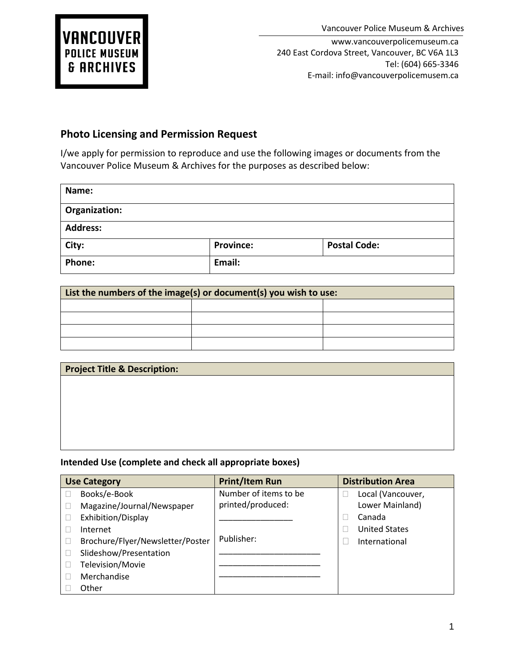www.vancouverpolicemuseum.ca 240 East Cordova Street, Vancouver, BC V6A 1L3 Tel: (604) 665-3346 E-mail: info@vancouverpolicemusem.ca

## **Photo Licensing and Permission Request**

I/we apply for permission to reproduce and use the following images or documents from the Vancouver Police Museum & Archives for the purposes as described below:

| Name:           |                  |                     |  |
|-----------------|------------------|---------------------|--|
| Organization:   |                  |                     |  |
| <b>Address:</b> |                  |                     |  |
| City:           | <b>Province:</b> | <b>Postal Code:</b> |  |
| Phone:          | Email:           |                     |  |

| List the numbers of the image(s) or document(s) you wish to use: |  |  |
|------------------------------------------------------------------|--|--|
|                                                                  |  |  |
|                                                                  |  |  |
|                                                                  |  |  |
|                                                                  |  |  |

| <b>Project Title &amp; Description:</b> |  |  |
|-----------------------------------------|--|--|
|                                         |  |  |
|                                         |  |  |
|                                         |  |  |
|                                         |  |  |
|                                         |  |  |
|                                         |  |  |

## **Intended Use (complete and check all appropriate boxes)**

| <b>Use Category</b>              | <b>Print/Item Run</b> | <b>Distribution Area</b> |
|----------------------------------|-----------------------|--------------------------|
| Books/e-Book                     | Number of items to be | Local (Vancouver,        |
| Magazine/Journal/Newspaper       | printed/produced:     | Lower Mainland)          |
| Exhibition/Display               |                       | Canada                   |
| Internet                         |                       | <b>United States</b>     |
| Brochure/Flyer/Newsletter/Poster | Publisher:            | International            |
| Slideshow/Presentation           |                       |                          |
| Television/Movie                 |                       |                          |
| Merchandise                      |                       |                          |
| Other                            |                       |                          |